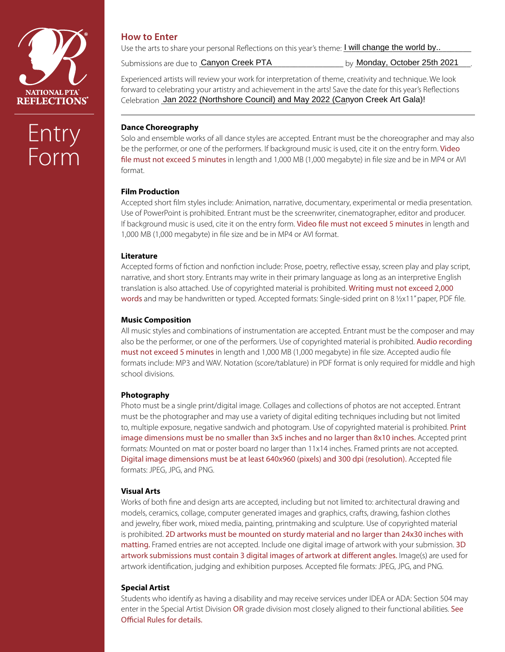

# Entry Form

# **How to Enter**

Use the arts to share your personal Reflections on this year's theme: **I will change the world by..** The same of

Submissions are due to **Canyon Creek PTA** 

by Monday, October 25th 2021

Experienced artists will review your work for interpretation of theme, creativity and technique. We look forward to celebrating your artistry and achievement in the arts! Save the date for this year's Reflections Celebration Jan 2022 (Northshore Council) and May 2022 (Canyon Creek Art Gala)!

## **Dance Choreography**

Solo and ensemble works of all dance styles are accepted. Entrant must be the choreographer and may also be the performer, or one of the performers. If background music is used, cite it on the entry form. Video file must not exceed 5 minutes in length and 1,000 MB (1,000 megabyte) in file size and be in MP4 or AVI format.

### **Film Production**

Accepted short film styles include: Animation, narrative, documentary, experimental or media presentation. Use of PowerPoint is prohibited. Entrant must be the screenwriter, cinematographer, editor and producer. If background music is used, cite it on the entry form. Video file must not exceed 5 minutes in length and 1,000 MB (1,000 megabyte) in file size and be in MP4 or AVI format.

### **Literature**

Accepted forms of fiction and nonfiction include: Prose, poetry, reflective essay, screen play and play script, narrative, and short story. Entrants may write in their primary language as long as an interpretive English translation is also attached. Use of copyrighted material is prohibited. Writing must not exceed 2,000 words and may be handwritten or typed. Accepted formats: Single-sided print on 8 1/2x11" paper, PDF file.

#### **Music Composition**

All music styles and combinations of instrumentation are accepted. Entrant must be the composer and may also be the performer, or one of the performers. Use of copyrighted material is prohibited. Audio recording must not exceed 5 minutes in length and 1,000 MB (1,000 megabyte) in file size. Accepted audio file formats include: MP3 and WAV. Notation (score/tablature) in PDF format is only required for middle and high school divisions.

### **Photography**

Photo must be a single print/digital image. Collages and collections of photos are not accepted. Entrant must be the photographer and may use a variety of digital editing techniques including but not limited to, multiple exposure, negative sandwich and photogram. Use of copyrighted material is prohibited. Print image dimensions must be no smaller than 3x5 inches and no larger than 8x10 inches. Accepted print formats: Mounted on mat or poster board no larger than 11x14 inches. Framed prints are not accepted. Digital image dimensions must be at least 640x960 (pixels) and 300 dpi (resolution). Accepted file formats: JPEG, JPG, and PNG.

#### **Visual Arts**

Works of both fine and design arts are accepted, including but not limited to: architectural drawing and models, ceramics, collage, computer generated images and graphics, crafts, drawing, fashion clothes and jewelry, fiber work, mixed media, painting, printmaking and sculpture. Use of copyrighted material is prohibited. 2D artworks must be mounted on sturdy material and no larger than 24x30 inches with matting. Framed entries are not accepted. Include one digital image of artwork with your submission. 3D artwork submissions must contain 3 digital images of artwork at different angles. Image(s) are used for artwork identification, judging and exhibition purposes. Accepted file formats: JPEG, JPG, and PNG.

#### **Special Artist**

Students who identify as having a disability and may receive services under IDEA or ADA: Section 504 may enter in the Special Artist Division OR grade division most closely aligned to their functional abilities. See Official Rules for details.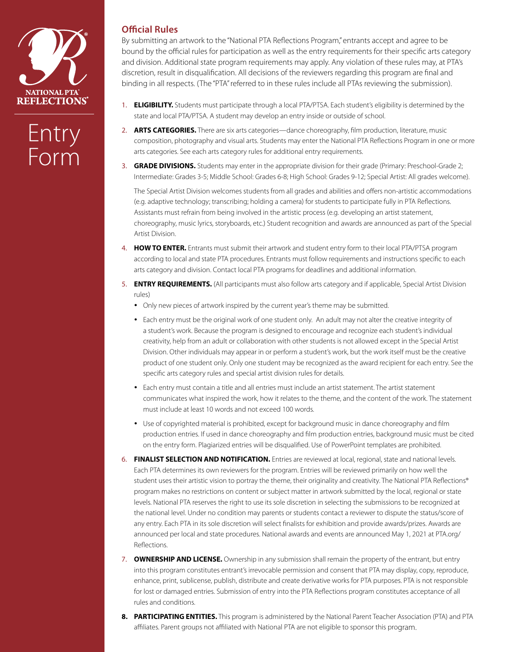

# Entry Form

## **Official Rules**

By submitting an artwork to the "National PTA Reflections Program," entrants accept and agree to be bound by the official rules for participation as well as the entry requirements for their specific arts category and division. Additional state program requirements may apply. Any violation of these rules may, at PTA's discretion, result in disqualification. All decisions of the reviewers regarding this program are final and binding in all respects. (The "PTA" referred to in these rules include all PTAs reviewing the submission).

- 1. **ELIGIBILITY.** Students must participate through a local PTA/PTSA. Each student's eligibility is determined by the state and local PTA/PTSA. A student may develop an entry inside or outside of school.
- 2. **ARTS CATEGORIES.** There are six arts categories—dance choreography, film production, literature, music composition, photography and visual arts. Students may enter the National PTA Reflections Program in one or more arts categories. See each arts category rules for additional entry requirements.
- 3. **GRADE DIVISIONS.** Students may enter in the appropriate division for their grade (Primary: Preschool-Grade 2; Intermediate: Grades 3-5; Middle School: Grades 6-8; High School: Grades 9-12; Special Artist: All grades welcome).

The Special Artist Division welcomes students from all grades and abilities and offers non-artistic accommodations (e.g. adaptive technology; transcribing; holding a camera) for students to participate fully in PTA Reflections. Assistants must refrain from being involved in the artistic process (e.g. developing an artist statement, choreography, music lyrics, storyboards, etc.) Student recognition and awards are announced as part of the Special Artist Division.

- 4. **HOW TO ENTER.** Entrants must submit their artwork and student entry form to their local PTA/PTSA program according to local and state PTA procedures. Entrants must follow requirements and instructions specific to each arts category and division. Contact local PTA programs for deadlines and additional information.
- 5. **ENTRY REQUIREMENTS.** (All participants must also follow arts category and if applicable, Special Artist Division rules)
	- Only new pieces of artwork inspired by the current year's theme may be submitted.
	- Each entry must be the original work of one student only. An adult may not alter the creative integrity of a student's work. Because the program is designed to encourage and recognize each student's individual creativity, help from an adult or collaboration with other students is not allowed except in the Special Artist Division. Other individuals may appear in or perform a student's work, but the work itself must be the creative product of one student only. Only one student may be recognized as the award recipient for each entry. See the specific arts category rules and special artist division rules for details.
	- Each entry must contain a title and all entries must include an artist statement. The artist statement communicates what inspired the work, how it relates to the theme, and the content of the work. The statement must include at least 10 words and not exceed 100 words.
	- Use of copyrighted material is prohibited, except for background music in dance choreography and film production entries. If used in dance choreography and film production entries, background music must be cited on the entry form. Plagiarized entries will be disqualified. Use of PowerPoint templates are prohibited.
- 6. **FINALIST SELECTION AND NOTIFICATION.** Entries are reviewed at local, regional, state and national levels. Each PTA determines its own reviewers for the program. Entries will be reviewed primarily on how well the student uses their artistic vision to portray the theme, their originality and creativity. The National PTA Reflections® program makes no restrictions on content or subject matter in artwork submitted by the local, regional or state levels. National PTA reserves the right to use its sole discretion in selecting the submissions to be recognized at the national level. Under no condition may parents or students contact a reviewer to dispute the status/score of any entry. Each PTA in its sole discretion will select finalists for exhibition and provide awards/prizes. Awards are announced per local and state procedures. National awards and events are announced May 1, 2021 at PTA.org/ Reflections.
- 7. **OWNERSHIP AND LICENSE.** Ownership in any submission shall remain the property of the entrant, but entry into this program constitutes entrant's irrevocable permission and consent that PTA may display, copy, reproduce, enhance, print, sublicense, publish, distribute and create derivative works for PTA purposes. PTA is not responsible for lost or damaged entries. Submission of entry into the PTA Reflections program constitutes acceptance of all rules and conditions.
- **8. PARTICIPATING ENTITIES.** This program is administered by the National Parent Teacher Association (PTA) and PTA affiliates. Parent groups not affiliated with National PTA are not eligible to sponsor this program.